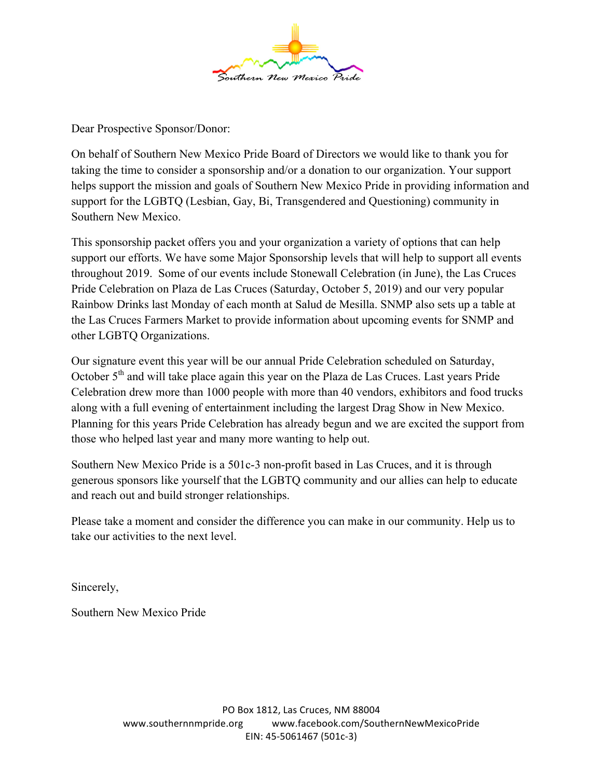

Dear Prospective Sponsor/Donor:

On behalf of Southern New Mexico Pride Board of Directors we would like to thank you for taking the time to consider a sponsorship and/or a donation to our organization. Your support helps support the mission and goals of Southern New Mexico Pride in providing information and support for the LGBTQ (Lesbian, Gay, Bi, Transgendered and Questioning) community in Southern New Mexico.

This sponsorship packet offers you and your organization a variety of options that can help support our efforts. We have some Major Sponsorship levels that will help to support all events throughout 2019. Some of our events include Stonewall Celebration (in June), the Las Cruces Pride Celebration on Plaza de Las Cruces (Saturday, October 5, 2019) and our very popular Rainbow Drinks last Monday of each month at Salud de Mesilla. SNMP also sets up a table at the Las Cruces Farmers Market to provide information about upcoming events for SNMP and other LGBTQ Organizations.

Our signature event this year will be our annual Pride Celebration scheduled on Saturday, October 5<sup>th</sup> and will take place again this year on the Plaza de Las Cruces. Last years Pride Celebration drew more than 1000 people with more than 40 vendors, exhibitors and food trucks along with a full evening of entertainment including the largest Drag Show in New Mexico. Planning for this years Pride Celebration has already begun and we are excited the support from those who helped last year and many more wanting to help out.

Southern New Mexico Pride is a 501c-3 non-profit based in Las Cruces, and it is through generous sponsors like yourself that the LGBTQ community and our allies can help to educate and reach out and build stronger relationships.

Please take a moment and consider the difference you can make in our community. Help us to take our activities to the next level.

Sincerely,

Southern New Mexico Pride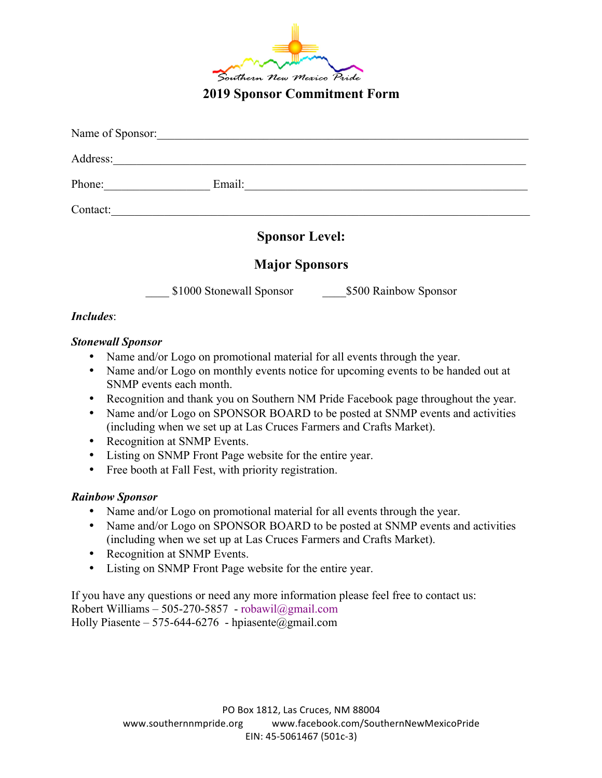

**2019 Sponsor Commitment Form**

| Name of Sponsor: |                          |                       |
|------------------|--------------------------|-----------------------|
| Address:         |                          |                       |
| Phone:           | Email:                   |                       |
| Contact:         |                          |                       |
|                  | <b>Sponsor Level:</b>    |                       |
|                  | <b>Major Sponsors</b>    |                       |
|                  | \$1000 Stonewall Sponsor | \$500 Rainbow Sponsor |
| <b>Includes:</b> |                          |                       |

#### *Stonewall Sponsor*

- Name and/or Logo on promotional material for all events through the year.
- Name and/or Logo on monthly events notice for upcoming events to be handed out at SNMP events each month.
- Recognition and thank you on Southern NM Pride Facebook page throughout the year.
- Name and/or Logo on SPONSOR BOARD to be posted at SNMP events and activities (including when we set up at Las Cruces Farmers and Crafts Market).
- Recognition at SNMP Events.
- Listing on SNMP Front Page website for the entire year.
- Free booth at Fall Fest, with priority registration.

#### *Rainbow Sponsor*

- Name and/or Logo on promotional material for all events through the year.
- Name and/or Logo on SPONSOR BOARD to be posted at SNMP events and activities (including when we set up at Las Cruces Farmers and Crafts Market).
- Recognition at SNMP Events.
- Listing on SNMP Front Page website for the entire year.

If you have any questions or need any more information please feel free to contact us: Robert Williams – 505-270-5857 - robawil@gmail.com Holly Piasente – 575-644-6276 - hpiasente@gmail.com